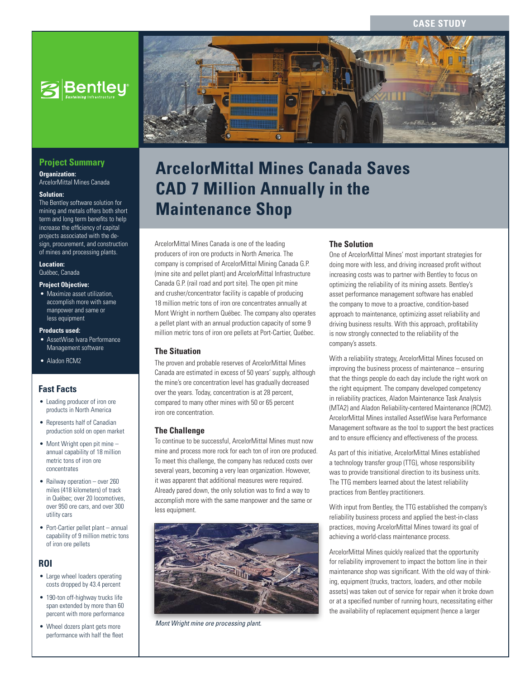

# **Project Summary**

**Organization:**  ArcelorMittal Mines Canada

#### **Solution:**

The Bentley software solution for mining and metals offers both short term and long term benefits to help increase the efficiency of capital projects associated with the design, procurement, and construction of mines and processing plants.

#### **Location:**

Québec, Canada

#### **Project Objective:**

• Maximize asset utilization, accomplish more with same manpower and same or less equipment

#### **Products used:**

- AssetWise Ivara Performance Management software
- Aladon RCM2

# **Fast Facts**

- Leading producer of iron ore products in North America
- Represents half of Canadian production sold on open market
- Mont Wright open pit mine annual capability of 18 million metric tons of iron ore concentrates
- Railway operation over 260 miles (418 kilometers) of track in Québec; over 20 locomotives, over 950 ore cars, and over 300 utility cars
- Port-Cartier pellet plant annual capability of 9 million metric tons of iron ore pellets

### **ROI**

- Large wheel loaders operating costs dropped by 43.4 percent
- 190-ton off-highway trucks life span extended by more than 60 percent with more performance
- Wheel dozers plant gets more performance with half the fleet



# **ArcelorMittal Mines Canada Saves CAD 7 Million Annually in the Maintenance Shop**

ArcelorMittal Mines Canada is one of the leading producers of iron ore products in North America. The company is comprised of ArcelorMittal Mining Canada G.P. (mine site and pellet plant) and ArcelorMittal Infrastructure Canada G.P. (rail road and port site). The open pit mine and crusher/concentrator facility is capable of producing 18 million metric tons of iron ore concentrates annually at Mont Wright in northern Québec. The company also operates a pellet plant with an annual production capacity of some 9 million metric tons of iron ore pellets at Port-Cartier, Québec.

#### **The Situation**

The proven and probable reserves of ArcelorMittal Mines Canada are estimated in excess of 50 years' supply, although the mine's ore concentration level has gradually decreased over the years. Today, concentration is at 28 percent, compared to many other mines with 50 or 65 percent iron ore concentration.

#### **The Challenge**

To continue to be successful, ArcelorMittal Mines must now mine and process more rock for each ton of iron ore produced. To meet this challenge, the company has reduced costs over several years, becoming a very lean organization. However, it was apparent that additional measures were required. Already pared down, the only solution was to find a way to accomplish more with the same manpower and the same or less equipment.



*Mont Wright mine ore processing plant.*

#### **The Solution**

One of ArcelorMittal Mines' most important strategies for doing more with less, and driving increased profit without increasing costs was to partner with Bentley to focus on optimizing the reliability of its mining assets. Bentley's asset performance management software has enabled the company to move to a proactive, condition-based approach to maintenance, optimizing asset reliability and driving business results. With this approach, profitability is now strongly connected to the reliability of the company's assets.

With a reliability strategy, ArcelorMittal Mines focused on improving the business process of maintenance – ensuring that the things people do each day include the right work on the right equipment. The company developed competency in reliability practices, Aladon Maintenance Task Analysis (MTA2) and Aladon Reliability-centered Maintenance (RCM2). ArcelorMittal Mines installed AssetWise Ivara Performance Management software as the tool to support the best practices and to ensure efficiency and effectiveness of the process.

As part of this initiative, ArcelorMittal Mines established a technology transfer group (TTG), whose responsibility was to provide transitional direction to its business units. The TTG members learned about the latest reliability practices from Bentley practitioners.

With input from Bentley, the TTG established the company's reliability business process and applied the best-in-class practices, moving ArcelorMittal Mines toward its goal of achieving a world-class maintenance process.

ArcelorMittal Mines quickly realized that the opportunity for reliability improvement to impact the bottom line in their maintenance shop was significant. With the old way of thinking, equipment (trucks, tractors, loaders, and other mobile assets) was taken out of service for repair when it broke down or at a specified number of running hours, necessitating either the availability of replacement equipment (hence a larger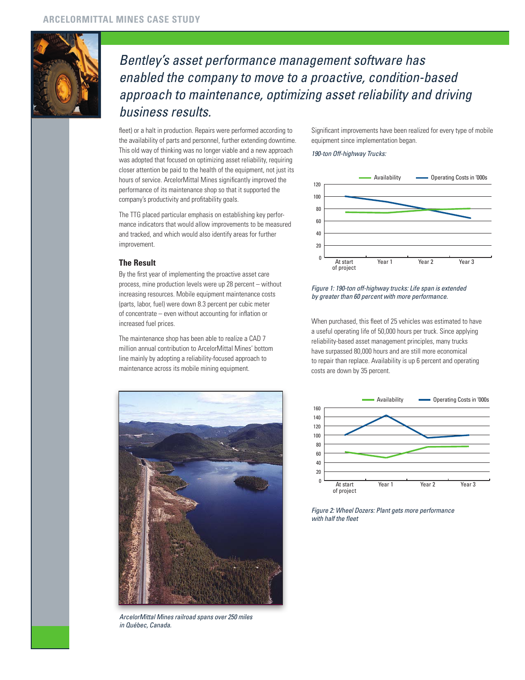

# *Bentley's asset performance management software has enabled the company to move to a proactive, condition-based approach to maintenance, optimizing asset reliability and driving business results.*

fleet) or a halt in production. Repairs were performed according to the availability of parts and personnel, further extending downtime. This old way of thinking was no longer viable and a new approach was adopted that focused on optimizing asset reliability, requiring closer attention be paid to the health of the equipment, not just its hours of service. ArcelorMittal Mines significantly improved the performance of its maintenance shop so that it supported the company's productivity and profitability goals.

The TTG placed particular emphasis on establishing key performance indicators that would allow improvements to be measured and tracked, and which would also identify areas for further improvement.

#### **The Result**

By the first year of implementing the proactive asset care process, mine production levels were up 28 percent – without increasing resources. Mobile equipment maintenance costs (parts, labor, fuel) were down 8.3 percent per cubic meter of concentrate – even without accounting for inflation or increased fuel prices.

The maintenance shop has been able to realize a CAD 7 million annual contribution to ArcelorMittal Mines' bottom line mainly by adopting a reliability-focused approach to maintenance across its mobile mining equipment.



*ArcelorMittal Mines railroad spans over 250 miles in Québec, Canada.*

Significant improvements have been realized for every type of mobile equipment since implementation began.

#### *190-ton Off-highway Trucks:*



*Figure 1: 190-ton off-highway trucks: Life span is extended by greater than 60 percent with more performance.*

When purchased, this fleet of 25 vehicles was estimated to have a useful operating life of 50,000 hours per truck. Since applying reliability-based asset management principles, many trucks have surpassed 80,000 hours and are still more economical to repair than replace. Availability is up 6 percent and operating costs are down by 35 percent.



*Figure 2: Wheel Dozers: Plant gets more performance with half the fleet*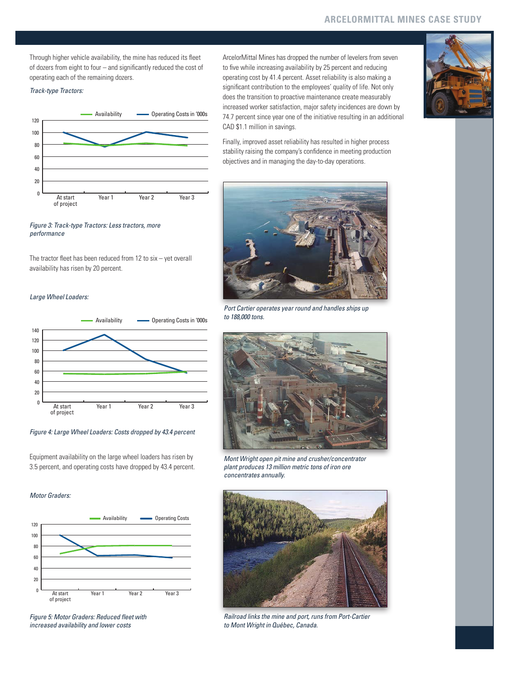Through higher vehicle availability, the mine has reduced its fleet of dozers from eight to four – and significantly reduced the cost of operating each of the remaining dozers.

#### *Track-type Tractors:*



*Figure 3: Track-type Tractors: Less tractors, more performance*

The tractor fleet has been reduced from 12 to six – yet overall availability has risen by 20 percent.

#### *Large Wheel Loaders:*



#### *Figure 4: Large Wheel Loaders: Costs dropped by 43.4 percent*

Equipment availability on the large wheel loaders has risen by 3.5 percent, and operating costs have dropped by 43.4 percent.

#### *Motor Graders:*



*Figure 5: Motor Graders: Reduced fleet with increased availability and lower costs*

ArcelorMittal Mines has dropped the number of levelers from seven to five while increasing availability by 25 percent and reducing operating cost by 41.4 percent. Asset reliability is also making a significant contribution to the employees' quality of life. Not only does the transition to proactive maintenance create measurably increased worker satisfaction, major safety incidences are down by 74.7 percent since year one of the initiative resulting in an additional CAD \$1.1 million in savings.



Finally, improved asset reliability has resulted in higher process stability raising the company's confidence in meeting production objectives and in managing the day-to-day operations.



*Port Cartier operates year round and handles ships up to 188,000 tons.*



*Mont Wright open pit mine and crusher/concentrator plant produces 13 million metric tons of iron ore concentrates annually.*



*Railroad links the mine and port, runs from Port-Cartier to Mont Wright in Québec, Canada.*